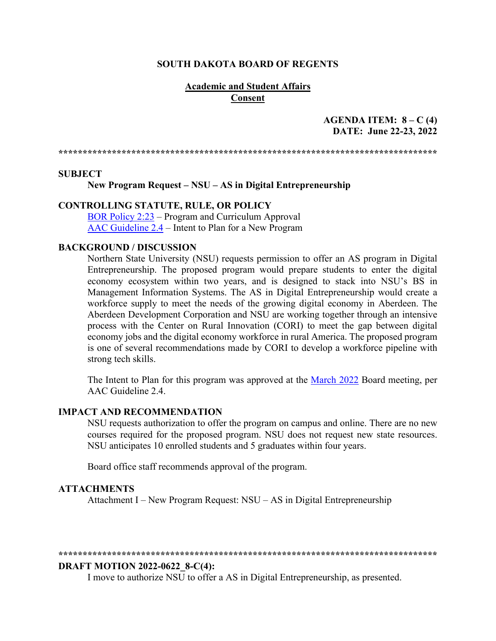#### **SOUTH DAKOTA BOARD OF REGENTS**

#### **Academic and Student Affairs Consent**

## **AGENDA ITEM: 8 – C (4) DATE: June 22-23, 2022**

**\*\*\*\*\*\*\*\*\*\*\*\*\*\*\*\*\*\*\*\*\*\*\*\*\*\*\*\*\*\*\*\*\*\*\*\*\*\*\*\*\*\*\*\*\*\*\*\*\*\*\*\*\*\*\*\*\*\*\*\*\*\*\*\*\*\*\*\*\*\*\*\*\*\*\*\*\*\***

#### **SUBJECT**

**New Program Request – NSU – AS in Digital Entrepreneurship**

#### **CONTROLLING STATUTE, RULE, OR POLICY**

[BOR Policy 2:23](https://www.sdbor.edu/policy/Documents/2-23.pdf) – Program and Curriculum Approval [AAC Guideline 2.4](https://www.sdbor.edu/administrative-offices/academics/academic-affairs-guidelines/Documents/2_Guidelines/2_4_Guideline.pdf) – Intent to Plan for a New Program

#### **BACKGROUND / DISCUSSION**

Northern State University (NSU) requests permission to offer an AS program in Digital Entrepreneurship. The proposed program would prepare students to enter the digital economy ecosystem within two years, and is designed to stack into NSU's BS in Management Information Systems. The AS in Digital Entrepreneurship would create a workforce supply to meet the needs of the growing digital economy in Aberdeen. The Aberdeen Development Corporation and NSU are working together through an intensive process with the Center on Rural Innovation (CORI) to meet the gap between digital economy jobs and the digital economy workforce in rural America. The proposed program is one of several recommendations made by CORI to develop a workforce pipeline with strong tech skills.

The Intent to Plan for this program was approved at the [March 2022](https://www.sdbor.edu/the-board/agendaitems/2014AgendaItems/2022%20Agenda%20Items/March2022/6_E1_BOR0322.pdf) Board meeting, per AAC Guideline 2.4.

#### **IMPACT AND RECOMMENDATION**

NSU requests authorization to offer the program on campus and online. There are no new courses required for the proposed program. NSU does not request new state resources. NSU anticipates 10 enrolled students and 5 graduates within four years.

Board office staff recommends approval of the program.

#### **ATTACHMENTS**

Attachment I – New Program Request: NSU – AS in Digital Entrepreneurship

#### **\*\*\*\*\*\*\*\*\*\*\*\*\*\*\*\*\*\*\*\*\*\*\*\*\*\*\*\*\*\*\*\*\*\*\*\*\*\*\*\*\*\*\*\*\*\*\*\*\*\*\*\*\*\*\*\*\*\*\*\*\*\*\*\*\*\*\*\*\*\*\*\*\*\*\*\*\*\***

#### **DRAFT MOTION 2022-0622\_8-C(4):**

I move to authorize NSU to offer a AS in Digital Entrepreneurship, as presented.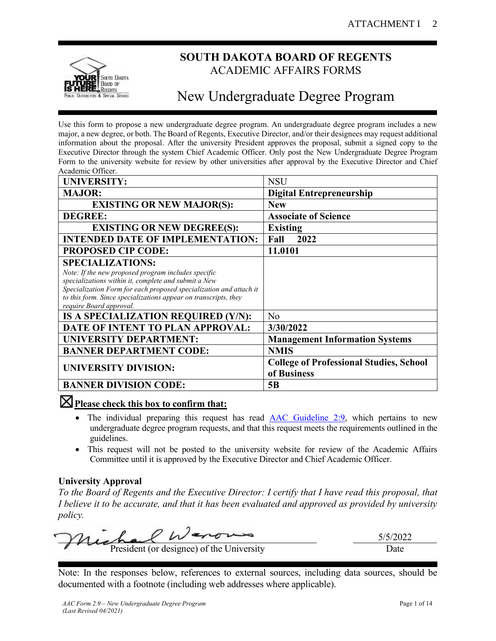

# **SOUTH DAKOTA BOARD OF REGENTS** ACADEMIC AFFAIRS FORMS

# New Undergraduate Degree Program

Use this form to propose a new undergraduate degree program. An undergraduate degree program includes a new major, a new degree, or both. The Board of Regents, Executive Director, and/or their designees may request additional information about the proposal. After the university President approves the proposal, submit a signed copy to the Executive Director through the system Chief Academic Officer. Only post the New Undergraduate Degree Program Form to the university website for review by other universities after approval by the Executive Director and Chief Academic Officer.

| <b>UNIVERSITY:</b>                                                                                                                                                                                                                                                                                         | <b>NSU</b>                                                    |
|------------------------------------------------------------------------------------------------------------------------------------------------------------------------------------------------------------------------------------------------------------------------------------------------------------|---------------------------------------------------------------|
| <b>MAJOR:</b>                                                                                                                                                                                                                                                                                              | <b>Digital Entrepreneurship</b>                               |
| <b>EXISTING OR NEW MAJOR(S):</b>                                                                                                                                                                                                                                                                           | <b>New</b>                                                    |
| <b>DEGREE:</b>                                                                                                                                                                                                                                                                                             | <b>Associate of Science</b>                                   |
| <b>EXISTING OR NEW DEGREE(S):</b>                                                                                                                                                                                                                                                                          | <b>Existing</b>                                               |
| <b>INTENDED DATE OF IMPLEMENTATION:</b>                                                                                                                                                                                                                                                                    | 2022<br>Fall                                                  |
| <b>PROPOSED CIP CODE:</b>                                                                                                                                                                                                                                                                                  | 11.0101                                                       |
| <b>SPECIALIZATIONS:</b><br>Note: If the new proposed program includes specific<br>specializations within it, complete and submit a New<br>Specialization Form for each proposed specialization and attach it<br>to this form. Since specializations appear on transcripts, they<br>require Board approval. |                                                               |
| IS A SPECIALIZATION REQUIRED (Y/N):                                                                                                                                                                                                                                                                        | N <sub>o</sub>                                                |
| DATE OF INTENT TO PLAN APPROVAL:                                                                                                                                                                                                                                                                           | 3/30/2022                                                     |
| <b>UNIVERSITY DEPARTMENT:</b>                                                                                                                                                                                                                                                                              | <b>Management Information Systems</b>                         |
| <b>BANNER DEPARTMENT CODE:</b>                                                                                                                                                                                                                                                                             | <b>NMIS</b>                                                   |
| <b>UNIVERSITY DIVISION:</b>                                                                                                                                                                                                                                                                                | <b>College of Professional Studies, School</b><br>of Business |
| <b>BANNER DIVISION CODE:</b>                                                                                                                                                                                                                                                                               | 5B                                                            |

# ☒**Please check this box to confirm that:**

- The individual preparing this request has read [AAC Guideline 2:9,](https://www.sdbor.edu/administrative-offices/academics/academic-affairs-guidelines/Documents/2_Guidelines/2_9_Guideline.pdf) which pertains to new undergraduate degree program requests, and that this request meets the requirements outlined in the guidelines.
- This request will not be posted to the university website for review of the Academic Affairs Committee until it is approved by the Executive Director and Chief Academic Officer.

# **University Approval**

*To the Board of Regents and the Executive Director: I certify that I have read this proposal, that I believe it to be accurate, and that it has been evaluated and approved as provided by university policy.*

 $W$ 5/5/2022 President (or designee) of the University Date

Note: In the responses below, references to external sources, including data sources, should be documented with a footnote (including web addresses where applicable).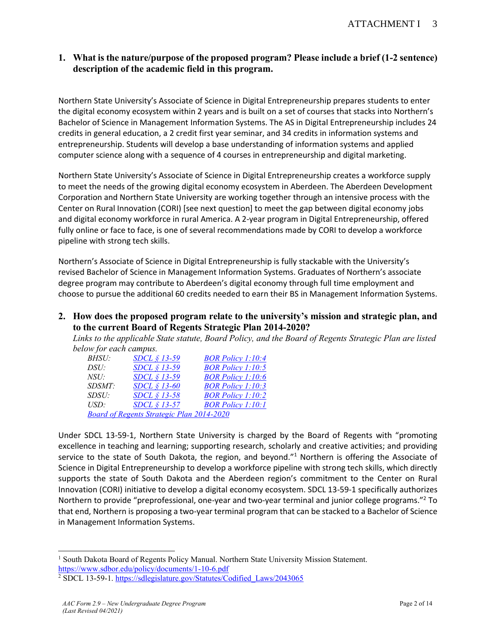# **1. What is the nature/purpose of the proposed program? Please include a brief (1-2 sentence) description of the academic field in this program.**

Northern State University's Associate of Science in Digital Entrepreneurship prepares students to enter the digital economy ecosystem within 2 years and is built on a set of courses that stacks into Northern's Bachelor of Science in Management Information Systems. The AS in Digital Entrepreneurship includes 24 credits in general education, a 2 credit first year seminar, and 34 credits in information systems and entrepreneurship. Students will develop a base understanding of information systems and applied computer science along with a sequence of 4 courses in entrepreneurship and digital marketing.

Northern State University's Associate of Science in Digital Entrepreneurship creates a workforce supply to meet the needs of the growing digital economy ecosystem in Aberdeen. The Aberdeen Development Corporation and Northern State University are working together through an intensive process with the Center on Rural Innovation (CORI) [see next question] to meet the gap between digital economy jobs and digital economy workforce in rural America. A 2-year program in Digital Entrepreneurship, offered fully online or face to face, is one of several recommendations made by CORI to develop a workforce pipeline with strong tech skills.

Northern's Associate of Science in Digital Entrepreneurship is fully stackable with the University's revised Bachelor of Science in Management Information Systems. Graduates of Northern's associate degree program may contribute to Aberdeen's digital economy through full time employment and choose to pursue the additional 60 credits needed to earn their BS in Management Information Systems.

**2. How does the proposed program relate to the university's mission and strategic plan, and to the current Board of Regents Strategic Plan 2014-2020?**

*Links to the applicable State statute, Board Policy, and the Board of Regents Strategic Plan are listed below for each campus.*

| <i>BHSU:</i>  | SDCL § 13-59                                     | <b>BOR Policy 1:10:4</b> |
|---------------|--------------------------------------------------|--------------------------|
| DSU:          | SDCL § 13-59                                     | <b>BOR Policy 1:10:5</b> |
| NSU:          | SDCL § 13-59                                     | <b>BOR Policy 1:10:6</b> |
| <i>SDSMT:</i> | $SDCL \S 13-60$                                  | <b>BOR Policy 1:10:3</b> |
| SDSU:         | $SDCL \S 13-58$                                  | <b>BOR Policy 1:10:2</b> |
| USD:          | SDCL $$13-57$                                    | <b>BOR Policy 1:10:1</b> |
|               | <b>Board of Regents Strategic Plan 2014-2020</b> |                          |

Under SDCL 13-59-1, Northern State University is charged by the Board of Regents with "promoting excellence in teaching and learning; supporting research, scholarly and creative activities; and providing service to the state of South Dakota, the region, and beyond."<sup>1</sup> Northern is offering the Associate of Science in Digital Entrepreneurship to develop a workforce pipeline with strong tech skills, which directly supports the state of South Dakota and the Aberdeen region's commitment to the Center on Rural Innovation (CORI) initiative to develop a digital economy ecosystem. SDCL 13-59-1 specifically authorizes Northern to provide "preprofessional, one-year and two-year terminal and junior college programs."<sup>2</sup> To that end, Northern is proposing a two-year terminal program that can be stacked to a Bachelor of Science in Management Information Systems.

<sup>&</sup>lt;sup>1</sup> South Dakota Board of Regents Policy Manual. Northern State University Mission Statement. <https://www.sdbor.edu/policy/documents/1-10-6.pdf>

<sup>&</sup>lt;sup>2</sup> SDCL 13-59-1[. https://sdlegislature.gov/Statutes/Codified\\_Laws/2043065](https://sdlegislature.gov/Statutes/Codified_Laws/2043065)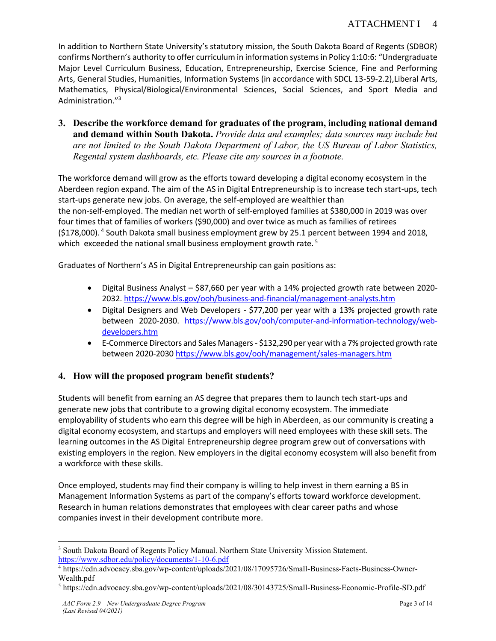In addition to Northern State University's statutory mission, the South Dakota Board of Regents (SDBOR) confirms Northern's authority to offer curriculum in information systems in Policy 1:10:6: "Undergraduate Major Level Curriculum Business, Education, Entrepreneurship, Exercise Science, Fine and Performing Arts, General Studies, Humanities, Information Systems (in accordance with SDCL 13-59-2.2),Liberal Arts, Mathematics, Physical/Biological/Environmental Sciences, Social Sciences, and Sport Media and Administration."<sup>3</sup>

**3. Describe the workforce demand for graduates of the program, including national demand and demand within South Dakota.** *Provide data and examples; data sources may include but are not limited to the South Dakota Department of Labor, the US Bureau of Labor Statistics, Regental system dashboards, etc. Please cite any sources in a footnote.*

The workforce demand will grow as the efforts toward developing a digital economy ecosystem in the Aberdeen region expand. The aim of the AS in Digital Entrepreneurship is to increase tech start-ups, tech start-ups generate new jobs. On average, the self-employed are wealthier than the non-self-employed. The median net worth of self-employed families at \$380,000 in 2019 was over four times that of families of workers (\$90,000) and over twice as much as families of retirees (\$178,000).<sup>4</sup> South Dakota small business employment grew by 25.1 percent between 1994 and 2018, which exceeded the national small business employment growth rate.<sup>5</sup>

Graduates of Northern's AS in Digital Entrepreneurship can gain positions as:

- Digital Business Analyst \$87,660 per year with a 14% projected growth rate between 2020- 2032.<https://www.bls.gov/ooh/business-and-financial/management-analysts.htm>
- Digital Designers and Web Developers \$77,200 per year with a 13% projected growth rate between 2020-2030. [https://www.bls.gov/ooh/computer-and-information-technology/web](https://www.bls.gov/ooh/computer-and-information-technology/web-developers.htm)[developers.htm](https://www.bls.gov/ooh/computer-and-information-technology/web-developers.htm)
- E-Commerce Directors and Sales Managers \$132,290 per year with a 7% projected growth rate between 2020-203[0 https://www.bls.gov/ooh/management/sales-managers.htm](https://www.bls.gov/ooh/management/sales-managers.htm)

# **4. How will the proposed program benefit students?**

Students will benefit from earning an AS degree that prepares them to launch tech start-ups and generate new jobs that contribute to a growing digital economy ecosystem. The immediate employability of students who earn this degree will be high in Aberdeen, as our community is creating a digital economy ecosystem, and startups and employers will need employees with these skill sets. The learning outcomes in the AS Digital Entrepreneurship degree program grew out of conversations with existing employers in the region. New employers in the digital economy ecosystem will also benefit from a workforce with these skills.

Once employed, students may find their company is willing to help invest in them earning a BS in Management Information Systems as part of the company's efforts toward workforce development. Research in human relations demonstrates that employees with clear career paths and whose companies invest in their development contribute more.

<sup>&</sup>lt;sup>3</sup> South Dakota Board of Regents Policy Manual. Northern State University Mission Statement. <https://www.sdbor.edu/policy/documents/1-10-6.pdf>

<sup>4</sup> https://cdn.advocacy.sba.gov/wp-content/uploads/2021/08/17095726/Small-Business-Facts-Business-Owner-Wealth.pdf

<sup>5</sup> https://cdn.advocacy.sba.gov/wp-content/uploads/2021/08/30143725/Small-Business-Economic-Profile-SD.pdf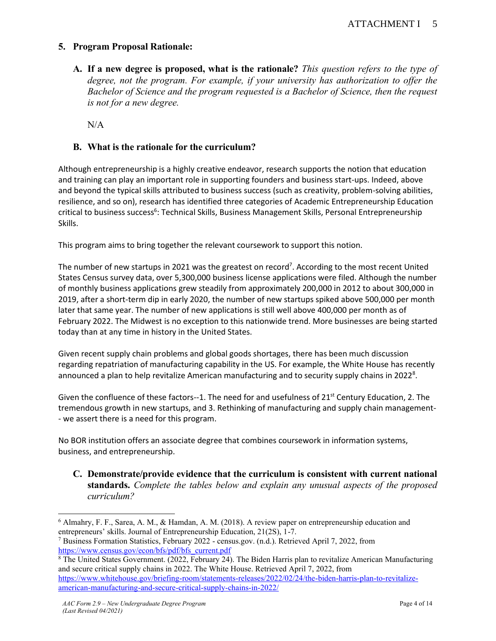# **5. Program Proposal Rationale:**

**A. If a new degree is proposed, what is the rationale?** *This question refers to the type of degree, not the program. For example, if your university has authorization to offer the Bachelor of Science and the program requested is a Bachelor of Science, then the request is not for a new degree.*

N/A

# **B. What is the rationale for the curriculum?**

Although entrepreneurship is a highly creative endeavor, research supports the notion that education and training can play an important role in supporting founders and business start-ups. Indeed, above and beyond the typical skills attributed to business success (such as creativity, problem-solving abilities, resilience, and so on), research has identified three categories of Academic Entrepreneurship Education critical to business success<sup>6</sup>: Technical Skills, Business Management Skills, Personal Entrepreneurship Skills.

This program aims to bring together the relevant coursework to support this notion.

The number of new startups in 2021 was the greatest on record<sup>7</sup>. According to the most recent United States Census survey data, over 5,300,000 business license applications were filed. Although the number of monthly business applications grew steadily from approximately 200,000 in 2012 to about 300,000 in 2019, after a short-term dip in early 2020, the number of new startups spiked above 500,000 per month later that same year. The number of new applications is still well above 400,000 per month as of February 2022. The Midwest is no exception to this nationwide trend. More businesses are being started today than at any time in history in the United States.

Given recent supply chain problems and global goods shortages, there has been much discussion regarding repatriation of manufacturing capability in the US. For example, the White House has recently announced a plan to help revitalize American manufacturing and to security supply chains in 2022<sup>8</sup>.

Given the confluence of these factors--1. The need for and usefulness of  $21^{st}$  Century Education, 2. The tremendous growth in new startups, and 3. Rethinking of manufacturing and supply chain management- - we assert there is a need for this program.

No BOR institution offers an associate degree that combines coursework in information systems, business, and entrepreneurship.

**C. Demonstrate/provide evidence that the curriculum is consistent with current national standards.** *Complete the tables below and explain any unusual aspects of the proposed curriculum?*

<sup>6</sup> Almahry, F. F., Sarea, A. M., & Hamdan, A. M. (2018). A review paper on entrepreneurship education and entrepreneurs' skills. Journal of Entrepreneurship Education, 21(2S), 1-7.

<sup>7</sup> Business Formation Statistics, February 2022 - census.gov. (n.d.). Retrieved April 7, 2022, from [https://www.census.gov/econ/bfs/pdf/bfs\\_current.pdf](https://www.census.gov/econ/bfs/pdf/bfs_current.pdf)

<sup>8</sup> The United States Government. (2022, February 24). The Biden Harris plan to revitalize American Manufacturing and secure critical supply chains in 2022. The White House. Retrieved April 7, 2022, from [https://www.whitehouse.gov/briefing-room/statements-releases/2022/02/24/the-biden-harris-plan-to-revitalize](https://www.whitehouse.gov/briefing-room/statements-releases/2022/02/24/the-biden-harris-plan-to-revitalize-american-manufacturing-and-secure-critical-supply-chains-in-2022/)[american-manufacturing-and-secure-critical-supply-chains-in-2022/](https://www.whitehouse.gov/briefing-room/statements-releases/2022/02/24/the-biden-harris-plan-to-revitalize-american-manufacturing-and-secure-critical-supply-chains-in-2022/)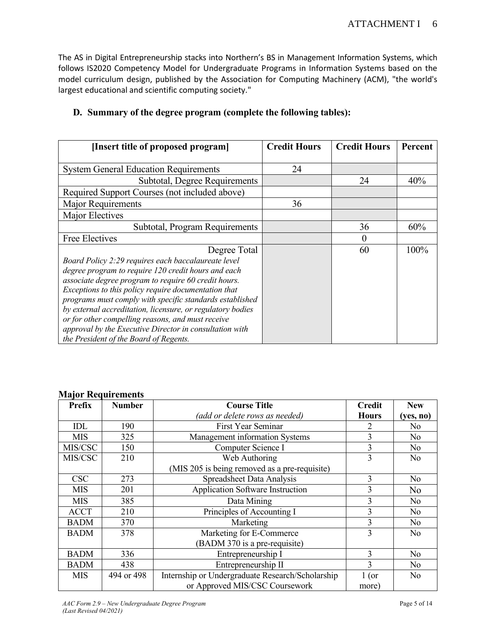The AS in Digital Entrepreneurship stacks into Northern's BS in Management Information Systems, which follows IS2020 Competency Model for Undergraduate Programs in Information Systems based on the model curriculum design, published by the Association for Computing Machinery (ACM), "the world's largest educational and scientific computing society."

| [Insert title of proposed program]                         | <b>Credit Hours</b> | <b>Credit Hours</b> | <b>Percent</b> |
|------------------------------------------------------------|---------------------|---------------------|----------------|
|                                                            |                     |                     |                |
| <b>System General Education Requirements</b>               | 24                  |                     |                |
| Subtotal, Degree Requirements                              |                     | 24                  | 40%            |
| Required Support Courses (not included above)              |                     |                     |                |
| Major Requirements                                         | 36                  |                     |                |
| Major Electives                                            |                     |                     |                |
| Subtotal, Program Requirements                             |                     | 36                  | 60%            |
| Free Electives                                             |                     | $\theta$            |                |
| Degree Total                                               |                     | 60                  | 100%           |
| Board Policy 2:29 requires each baccalaureate level        |                     |                     |                |
| degree program to require 120 credit hours and each        |                     |                     |                |
| associate degree program to require 60 credit hours.       |                     |                     |                |
| Exceptions to this policy require documentation that       |                     |                     |                |
| programs must comply with specific standards established   |                     |                     |                |
| by external accreditation, licensure, or regulatory bodies |                     |                     |                |
| or for other compelling reasons, and must receive          |                     |                     |                |
| approval by the Executive Director in consultation with    |                     |                     |                |
| the President of the Board of Regents.                     |                     |                     |                |

# **D. Summary of the degree program (complete the following tables):**

#### **Major Requirements**

| $\cdot$<br><b>Prefix</b> | <b>Number</b> | <b>Course Title</b>                              | <b>Credit</b>  | <b>New</b>     |
|--------------------------|---------------|--------------------------------------------------|----------------|----------------|
|                          |               | (add or delete rows as needed)                   | <b>Hours</b>   | (yes, no)      |
| IDL                      | 190           | First Year Seminar                               | $\mathfrak{D}$ | No             |
| <b>MIS</b>               | 325           | Management information Systems                   | 3              | No             |
| MIS/CSC                  | 150           | Computer Science I                               | 3              | No             |
| MIS/CSC                  | 210           | Web Authoring                                    | 3              | No             |
|                          |               | (MIS 205 is being removed as a pre-requisite)    |                |                |
| <b>CSC</b>               | 273           | Spreadsheet Data Analysis                        | 3              | No             |
| MIS                      | 201           | Application Software Instruction                 | 3              | N <sub>o</sub> |
| <b>MIS</b>               | 385           | Data Mining                                      | 3              | No             |
| <b>ACCT</b>              | 210           | Principles of Accounting I                       | 3              | No             |
| <b>BADM</b>              | 370           | Marketing                                        | 3              | No             |
| <b>BADM</b>              | 378           | Marketing for E-Commerce                         | 3              | N <sub>0</sub> |
|                          |               | (BADM 370 is a pre-requisite)                    |                |                |
| <b>BADM</b>              | 336           | Entrepreneurship I                               | 3              | No             |
| <b>BADM</b>              | 438           | Entrepreneurship II                              | 3              | No             |
| <b>MIS</b>               | 494 or 498    | Internship or Undergraduate Research/Scholarship | 1 (or          | No             |
|                          |               | or Approved MIS/CSC Coursework                   | more)          |                |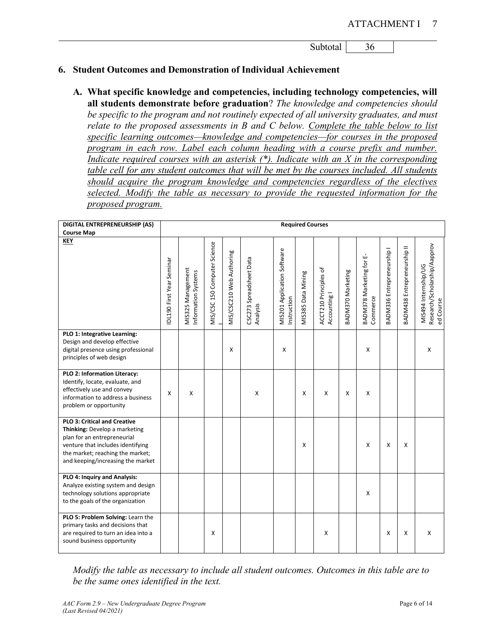Subtotal 36

#### **6. Student Outcomes and Demonstration of Individual Achievement**

**A. What specific knowledge and competencies, including technology competencies, will all students demonstrate before graduation**? *The knowledge and competencies should be specific to the program and not routinely expected of all university graduates, and must relate to the proposed assessments in B and C below. Complete the table below to list specific learning outcomes—knowledge and competencies—for courses in the proposed program in each row. Label each column heading with a course prefix and number. Indicate required courses with an asterisk (\*). Indicate with an X in the corresponding table cell for any student outcomes that will be met by the courses included. All students should acquire the program knowledge and competencies regardless of the electives selected. Modify the table as necessary to provide the requested information for the proposed program.*

| DIGITAL ENTREPRENEURSHIP (AS)<br><b>Course Map</b>                                                                                                                                                                |                          |                                          |                              |                          |                                     |                                           | <b>Required Courses</b>   |                                       |                   |                                      |                            |                             |                                                                   |
|-------------------------------------------------------------------------------------------------------------------------------------------------------------------------------------------------------------------|--------------------------|------------------------------------------|------------------------------|--------------------------|-------------------------------------|-------------------------------------------|---------------------------|---------------------------------------|-------------------|--------------------------------------|----------------------------|-----------------------------|-------------------------------------------------------------------|
| <b>KEY</b>                                                                                                                                                                                                        |                          |                                          |                              |                          |                                     |                                           |                           |                                       |                   |                                      |                            |                             |                                                                   |
|                                                                                                                                                                                                                   | DL190 First Year Seminar | MIS325 Management<br>Information Systems | MIS/CSC 150 Computer Science | MIS/CSC210 Web Authoring | CSC273 Spreadsheet Data<br>Analysis | MIS201 Application Software<br>nstruction | <b>MIS385 Data Mining</b> | ACCT210 Principles of<br>Accounting I | 3ADM370 Marketing | BADM378 Marketing for E-<br>Commerce | BADM336 Entrepreneurship I | BADM438 Entrepreneurship II | Research/Scholarship/Aapprov<br>MIS494 Internship/UG<br>ed Course |
| PLO 1: Integrative Learning:<br>Design and develop effective<br>digital presence using professional<br>principles of web design                                                                                   |                          |                                          |                              | X                        |                                     | X                                         |                           |                                       |                   | X                                    |                            |                             | x                                                                 |
| PLO 2: Information Literacy:<br>Identify, locate, evaluate, and<br>effectively use and convey<br>information to address a business<br>problem or opportunity                                                      | X                        | X                                        |                              |                          | X                                   |                                           | X                         | X                                     | X                 | X                                    |                            |                             |                                                                   |
| <b>PLO 3: Critical and Creative</b><br>Thinking: Develop a marketing<br>plan for an entrepreneurial<br>venture that includes identifying<br>the market; reaching the market;<br>and keeping/increasing the market |                          |                                          |                              |                          |                                     |                                           | X                         |                                       |                   | X                                    | $\boldsymbol{\mathsf{x}}$  | X                           |                                                                   |
| PLO 4: Inquiry and Analysis:<br>Analyze existing system and design<br>technology solutions appropriate<br>to the goals of the organization                                                                        |                          |                                          |                              |                          |                                     |                                           |                           |                                       |                   | X                                    |                            |                             |                                                                   |
| PLO 5: Problem Solving: Learn the<br>primary tasks and decisions that<br>are required to turn an idea into a<br>sound business opportunity                                                                        |                          |                                          | X                            |                          |                                     |                                           |                           | X                                     |                   |                                      | X                          | X                           | X                                                                 |

*Modify the table as necessary to include all student outcomes. Outcomes in this table are to be the same ones identified in the text.*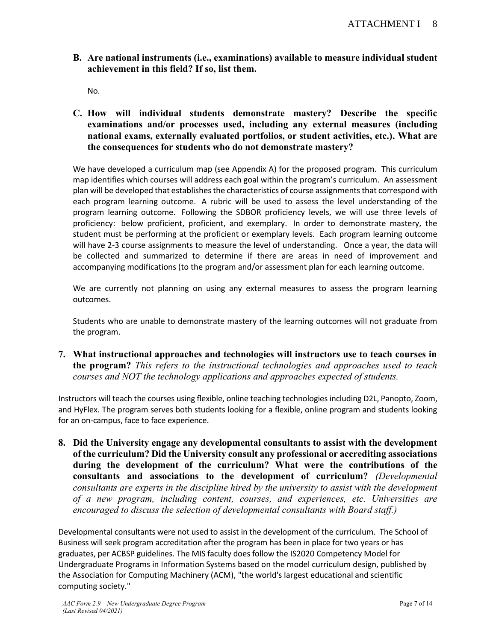**B. Are national instruments (i.e., examinations) available to measure individual student achievement in this field? If so, list them.**

No.

**C. How will individual students demonstrate mastery? Describe the specific examinations and/or processes used, including any external measures (including national exams, externally evaluated portfolios, or student activities, etc.). What are the consequences for students who do not demonstrate mastery?**

We have developed a curriculum map (see Appendix A) for the proposed program. This curriculum map identifies which courses will address each goal within the program's curriculum. An assessment plan will be developed that establishes the characteristics of course assignments that correspond with each program learning outcome. A rubric will be used to assess the level understanding of the program learning outcome. Following the SDBOR proficiency levels, we will use three levels of proficiency: below proficient, proficient, and exemplary. In order to demonstrate mastery, the student must be performing at the proficient or exemplary levels. Each program learning outcome will have 2-3 course assignments to measure the level of understanding. Once a year, the data will be collected and summarized to determine if there are areas in need of improvement and accompanying modifications (to the program and/or assessment plan for each learning outcome.

We are currently not planning on using any external measures to assess the program learning outcomes.

Students who are unable to demonstrate mastery of the learning outcomes will not graduate from the program.

**7. What instructional approaches and technologies will instructors use to teach courses in the program?** *This refers to the instructional technologies and approaches used to teach courses and NOT the technology applications and approaches expected of students.*

Instructors will teach the courses using flexible, online teaching technologies including D2L, Panopto, Zoom, and HyFlex. The program serves both students looking for a flexible, online program and students looking for an on-campus, face to face experience.

**8. Did the University engage any developmental consultants to assist with the development of the curriculum? Did the University consult any professional or accrediting associations during the development of the curriculum? What were the contributions of the consultants and associations to the development of curriculum?** *(Developmental consultants are experts in the discipline hired by the university to assist with the development of a new program, including content, courses, and experiences, etc. Universities are encouraged to discuss the selection of developmental consultants with Board staff.)*

Developmental consultants were not used to assist in the development of the curriculum. The School of Business will seek program accreditation after the program has been in place for two years or has graduates, per ACBSP guidelines. The MIS faculty does follow the IS2020 Competency Model for Undergraduate Programs in Information Systems based on the model curriculum design, published by the Association for Computing Machinery (ACM), "the world's largest educational and scientific computing society."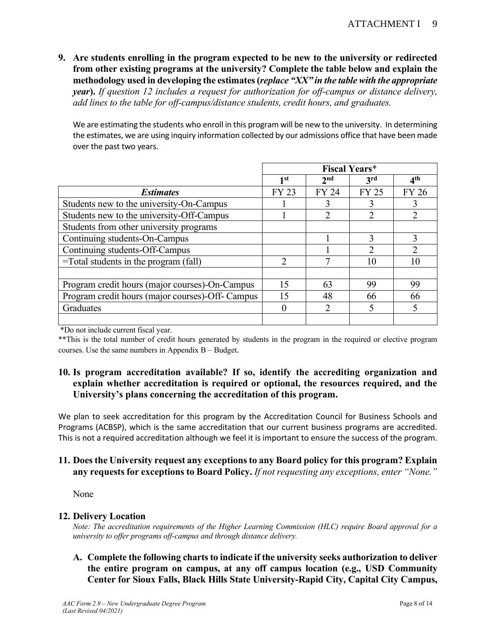**9. Are students enrolling in the program expected to be new to the university or redirected from other existing programs at the university? Complete the table below and explain the methodology used in developing the estimates(***replace "XX" in the table with the appropriate year***).** *If question 12 includes a request for authorization for off-campus or distance delivery, add lines to the table for off-campus/distance students, credit hours, and graduates.*

We are estimating the students who enroll in this program will be new to the university. In determining the estimates, we are using inquiry information collected by our admissions office that have been made over the past two years.

|                                                  |               | <b>Fiscal Years*</b> |              |                 |
|--------------------------------------------------|---------------|----------------------|--------------|-----------------|
|                                                  | 1st           | 2 <sub>nd</sub>      | <b>3rd</b>   | 4 <sup>th</sup> |
| <b>Estimates</b>                                 | <b>FY 23</b>  | <b>FY 24</b>         | <b>FY 25</b> | <b>FY 26</b>    |
| Students new to the university-On-Campus         |               |                      |              |                 |
| Students new to the university-Off-Campus        |               | າ                    |              |                 |
| Students from other university programs          |               |                      |              |                 |
| Continuing students-On-Campus                    |               |                      | 3            | 3               |
| Continuing students-Off-Campus                   |               |                      | ∍            | $\mathfrak{D}$  |
| =Total students in the program (fall)            | $\mathcal{L}$ |                      | 10           | 10              |
|                                                  |               |                      |              |                 |
| Program credit hours (major courses)-On-Campus   | 15            | 63                   | 99           | 99              |
| Program credit hours (major courses)-Off- Campus | 15            | 48                   | 66           | 66              |
| Graduates                                        | 0             | າ                    |              |                 |
|                                                  |               |                      |              |                 |

\*Do not include current fiscal year.

\*\*This is the total number of credit hours generated by students in the program in the required or elective program courses. Use the same numbers in Appendix B – Budget.

# **10. Is program accreditation available? If so, identify the accrediting organization and explain whether accreditation is required or optional, the resources required, and the University's plans concerning the accreditation of this program.**

We plan to seek accreditation for this program by the Accreditation Council for Business Schools and Programs (ACBSP), which is the same accreditation that our current business programs are accredited. This is not a required accreditation although we feel it is important to ensure the success of the program.

## **11. Does the University request any exceptions to any Board policy for this program? Explain any requests for exceptions to Board Policy.** *If not requesting any exceptions, enter "None."*

None

#### **12. Delivery Location**

*Note: The accreditation requirements of the Higher Learning Commission (HLC) require Board approval for a university to offer programs off-campus and through distance delivery.* 

**A. Complete the following charts to indicate if the university seeks authorization to deliver the entire program on campus, at any off campus location (e.g., USD Community Center for Sioux Falls, Black Hills State University-Rapid City, Capital City Campus,**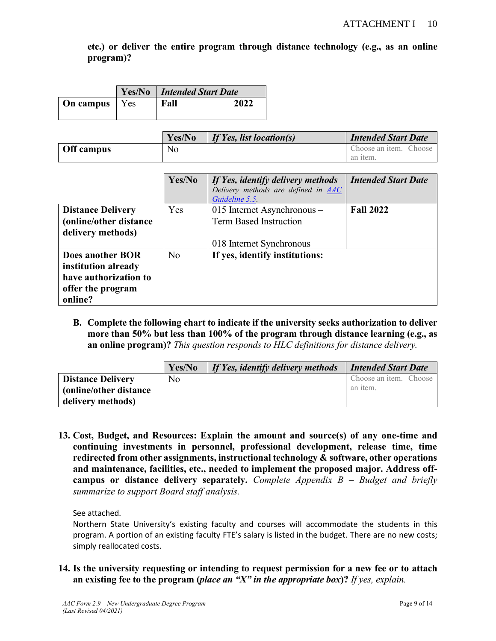**etc.) or deliver the entire program through distance technology (e.g., as an online program)?**

|                        | <b>Yes/No</b>   Intended Start Date |      |  |  |  |  |  |  |
|------------------------|-------------------------------------|------|--|--|--|--|--|--|
| <b>On campus</b>   Yes | Fall                                | 2022 |  |  |  |  |  |  |

|            | Yes/No | If Yes, list location(s) | <b>Intended Start Date</b> |
|------------|--------|--------------------------|----------------------------|
| Off campus | No     |                          | Choose an item. Choose     |
|            |        |                          | an item.                   |

|                                                                                                         | Yes/No | If Yes, identify delivery methods<br>Delivery methods are defined in <b>AAC</b><br>Guideline 5.5 | <b>Intended Start Date</b> |
|---------------------------------------------------------------------------------------------------------|--------|--------------------------------------------------------------------------------------------------|----------------------------|
| <b>Distance Delivery</b><br>(online/other distance<br>delivery methods)                                 | Yes    | 015 Internet Asynchronous -<br><b>Term Based Instruction</b>                                     | <b>Fall 2022</b>           |
| <b>Does another BOR</b><br>institution already<br>have authorization to<br>offer the program<br>online? | No     | 018 Internet Synchronous<br>If yes, identify institutions:                                       |                            |

**B. Complete the following chart to indicate if the university seeks authorization to deliver more than 50% but less than 100% of the program through distance learning (e.g., as an online program)?** *This question responds to HLC definitions for distance delivery.*

|                          | Yes/No | If Yes, identify delivery methods | <b>Intended Start Date</b> |
|--------------------------|--------|-----------------------------------|----------------------------|
| <b>Distance Delivery</b> | No.    |                                   | Choose an item. Choose     |
| (online/other distance)  |        |                                   | an item.                   |
| delivery methods)        |        |                                   |                            |

**13. Cost, Budget, and Resources: Explain the amount and source(s) of any one-time and continuing investments in personnel, professional development, release time, time redirected from other assignments, instructional technology & software, other operations and maintenance, facilities, etc., needed to implement the proposed major. Address offcampus or distance delivery separately.** *Complete Appendix B – Budget and briefly summarize to support Board staff analysis.* 

See attached.

Northern State University's existing faculty and courses will accommodate the students in this program. A portion of an existing faculty FTE's salary is listed in the budget. There are no new costs; simply reallocated costs.

**14. Is the university requesting or intending to request permission for a new fee or to attach an existing fee to the program (***place an "X" in the appropriate box***)?** *If yes, explain.*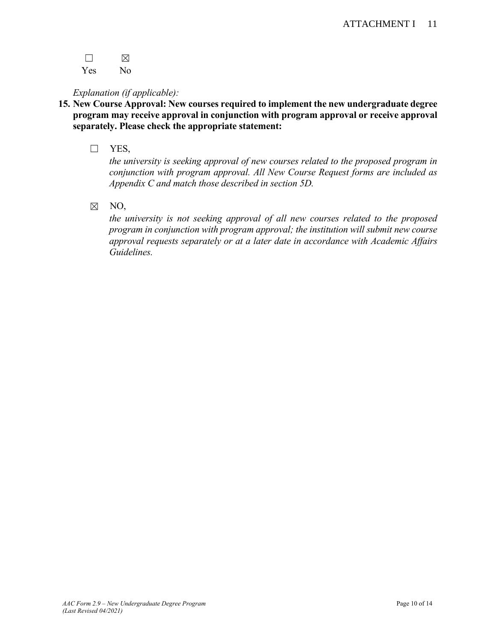$\square$ 

Yes No

# *Explanation (if applicable):*

- **15. New Course Approval: New courses required to implement the new undergraduate degree program may receive approval in conjunction with program approval or receive approval separately. Please check the appropriate statement:**
	- ☐ YES,

*the university is seeking approval of new courses related to the proposed program in conjunction with program approval. All New Course Request forms are included as Appendix C and match those described in section 5D.*

☒ NO,

*the university is not seeking approval of all new courses related to the proposed program in conjunction with program approval; the institution will submit new course approval requests separately or at a later date in accordance with Academic Affairs Guidelines.*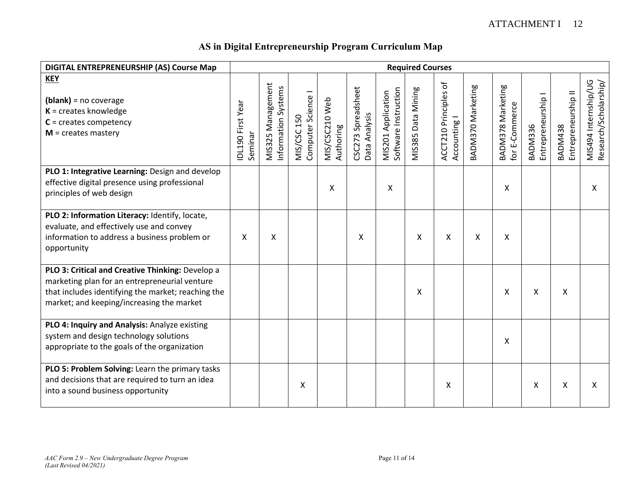| DIGITAL ENTREPRENEURSHIP (AS) Course Map                                                                                                                                                             |                              |                                          |                                          |                             |                                        |                                            | <b>Required Courses</b> |                                                         |                   |                                     |                               |                                       |                                               |
|------------------------------------------------------------------------------------------------------------------------------------------------------------------------------------------------------|------------------------------|------------------------------------------|------------------------------------------|-----------------------------|----------------------------------------|--------------------------------------------|-------------------------|---------------------------------------------------------|-------------------|-------------------------------------|-------------------------------|---------------------------------------|-----------------------------------------------|
| <b>KEY</b><br>$(blank)$ = no coverage<br>$K =$ creates knowledge<br>$C =$ creates competency<br>$M =$ creates mastery                                                                                | IDL190 First Year<br>Seminar | MIS325 Management<br>Information Systems | Computer Science I<br><b>MIS/CSC 150</b> | MIS/CSC210 Web<br>Authoring | Spreadsheet<br>Data Analysis<br>CSC273 | Software Instruction<br>MIS201 Application | Data Mining<br>MIS385   | $\rm ^{+}$<br><b>ACCT210 Principles</b><br>Accounting I | BADM370 Marketing | BADM378 Marketing<br>for E-Commerce | Entrepreneurship I<br>BADM336 | Entrepreneurship II<br><b>BADM438</b> | MIS494 Internship/UG<br>Research/Scholarship/ |
| PLO 1: Integrative Learning: Design and develop<br>effective digital presence using professional<br>principles of web design                                                                         |                              |                                          |                                          | X                           |                                        | X                                          |                         |                                                         |                   | X                                   |                               |                                       | X                                             |
| PLO 2: Information Literacy: Identify, locate,<br>evaluate, and effectively use and convey<br>information to address a business problem or<br>opportunity                                            | X                            | Χ                                        |                                          |                             | X                                      |                                            | X                       | X                                                       | X                 | X                                   |                               |                                       |                                               |
| PLO 3: Critical and Creative Thinking: Develop a<br>marketing plan for an entrepreneurial venture<br>that includes identifying the market; reaching the<br>market; and keeping/increasing the market |                              |                                          |                                          |                             |                                        |                                            | X                       |                                                         |                   | X                                   | X                             | X                                     |                                               |
| PLO 4: Inquiry and Analysis: Analyze existing<br>system and design technology solutions<br>appropriate to the goals of the organization                                                              |                              |                                          |                                          |                             |                                        |                                            |                         |                                                         |                   | X                                   |                               |                                       |                                               |
| PLO 5: Problem Solving: Learn the primary tasks<br>and decisions that are required to turn an idea<br>into a sound business opportunity                                                              |                              |                                          | Χ                                        |                             |                                        |                                            |                         | X                                                       |                   |                                     | Χ                             | X                                     | X                                             |

# **AS in Digital Entrepreneurship Program Curriculum Map**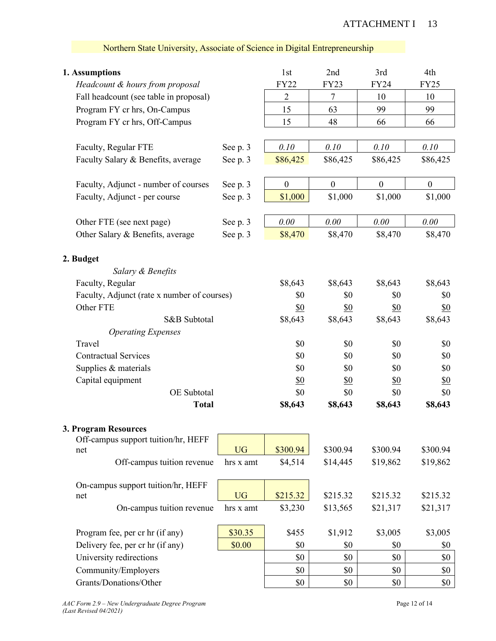#### ATTACHMENT I 13

| 1. Assumptions                              |           | 1st              | 2nd              | 3rd              | 4th              |
|---------------------------------------------|-----------|------------------|------------------|------------------|------------------|
| Headcount & hours from proposal             |           | <b>FY22</b>      | FY23             | FY24             | <b>FY25</b>      |
| Fall headcount (see table in proposal)      |           | $\overline{2}$   | $\tau$           | 10               | 10               |
| Program FY cr hrs, On-Campus                |           | 15               | 63               | 99               | 99               |
| Program FY cr hrs, Off-Campus               |           | 15               | 48               | 66               | 66               |
|                                             |           |                  |                  |                  |                  |
| Faculty, Regular FTE                        | See p. 3  | 0.10             | 0.10             | 0.10             | 0.10             |
| Faculty Salary & Benefits, average          | See p. 3  | \$86,425         | \$86,425         | \$86,425         | \$86,425         |
| Faculty, Adjunct - number of courses        | See p. 3  | $\boldsymbol{0}$ | $\boldsymbol{0}$ | $\boldsymbol{0}$ | $\boldsymbol{0}$ |
| Faculty, Adjunct - per course               | See p. 3  | \$1,000          | \$1,000          | \$1,000          | \$1,000          |
| Other FTE (see next page)                   | See p. 3  | 0.00             | $0.00\,$         | 0.00             | 0.00             |
| Other Salary & Benefits, average            | See p. 3  | \$8,470          | \$8,470          | \$8,470          | \$8,470          |
| 2. Budget                                   |           |                  |                  |                  |                  |
| Salary & Benefits                           |           |                  |                  |                  |                  |
| Faculty, Regular                            |           | \$8,643          | \$8,643          | \$8,643          | \$8,643          |
| Faculty, Adjunct (rate x number of courses) |           | \$0              | \$0              | \$0              | \$0              |
| Other FTE                                   |           | \$0              | <u>\$0</u>       | \$0              | <u>\$0</u>       |
| S&B Subtotal                                |           | \$8,643          | \$8,643          | \$8,643          | \$8,643          |
| <b>Operating Expenses</b>                   |           |                  |                  |                  |                  |
| Travel                                      |           | \$0              | \$0              | \$0              | \$0              |
| <b>Contractual Services</b>                 |           | \$0              | \$0              | \$0              | \$0              |
| Supplies & materials                        |           | \$0              | \$0              | \$0              | \$0              |
| Capital equipment                           |           | <u>\$0</u>       | <u>\$0</u>       | <u>\$0</u>       | <u>\$0</u>       |
| OE Subtotal                                 |           | \$0              | \$0              | \$0              | \$0              |
| <b>Total</b>                                |           | \$8,643          | \$8,643          | \$8,643          | \$8,643          |
| 3. Program Resources                        |           |                  |                  |                  |                  |
| Off-campus support tuition/hr, HEFF         |           |                  |                  |                  |                  |
| net                                         | <b>UG</b> | \$300.94         | \$300.94         | \$300.94         | \$300.94         |
| Off-campus tuition revenue                  | hrs x amt | \$4,514          | \$14,445         | \$19,862         | \$19,862         |
| On-campus support tuition/hr, HEFF          |           |                  |                  |                  |                  |
| net                                         | <b>UG</b> | \$215.32         | \$215.32         | \$215.32         | \$215.32         |
| On-campus tuition revenue                   | hrs x amt | \$3,230          | \$13,565         | \$21,317         | \$21,317         |
| Program fee, per cr hr (if any)             | \$30.35   | \$455            | \$1,912          | \$3,005          | \$3,005          |
| Delivery fee, per cr hr (if any)            | \$0.00    | \$0              | \$0              | \$0              | \$0              |
| University redirections                     |           | \$0              | \$0              | \$0              | \$0              |
| Community/Employers                         |           | \$0              | \$0              | \$0              | \$0              |

Grants/Donations/Other \$0 \$0 \$0 \$0

# Northern State University, Associate of Science in Digital Entrepreneurship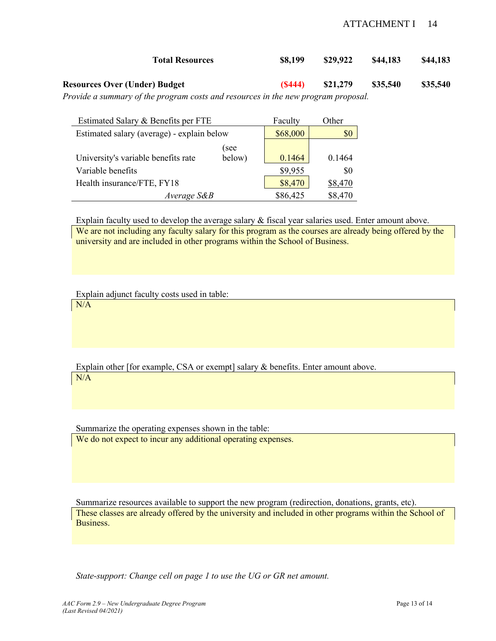#### ATTACHMENT I 14

| <b>Total Resources</b>                                                            | \$8,199 | \$29.922 | \$44,183 | \$44,183 |
|-----------------------------------------------------------------------------------|---------|----------|----------|----------|
| <b>Resources Over (Under) Budget</b>                                              | (S444)  | \$21.279 | \$35,540 | \$35,540 |
| Provide a summary of the program costs and resources in the new program proposal. |         |          |          |          |

Estimated Salary & Benefits per FTE Faculty Other Estimated salary (average) - explain below \$68,000 \$0 University's variable benefits rate (see below)  $\begin{array}{|c|c|c|c|c|c|c|c|c|} \hline 0.1464 & 0.1464 \hline \end{array}$ 

Variable benefits  $\qquad$   $\qquad$   $\qquad$   $\qquad$   $\qquad$   $\qquad$   $\qquad$   $\qquad$   $\qquad$   $\qquad$   $\qquad$   $\qquad$   $\qquad$   $\qquad$   $\qquad$   $\qquad$   $\qquad$   $\qquad$   $\qquad$   $\qquad$   $\qquad$   $\qquad$   $\qquad$   $\qquad$   $\qquad$   $\qquad$   $\qquad$   $\qquad$   $\qquad$   $\qquad$   $\qquad$   $\qquad$   $\qquad$   $\qquad$  Health insurance/FTE, FY18 \$8,470 \$8,470 *Average S&B* \$86,425 \$8,470

Explain faculty used to develop the average salary & fiscal year salaries used. Enter amount above.

We are not including any faculty salary for this program as the courses are already being offered by the university and are included in other programs within the School of Business.

Explain adjunct faculty costs used in table:

N/A

Explain other [for example, CSA or exempt] salary & benefits. Enter amount above. N/A

Summarize the operating expenses shown in the table: We do not expect to incur any additional operating expenses.

Summarize resources available to support the new program (redirection, donations, grants, etc). These classes are already offered by the university and included in other programs within the School of Business.

*State-support: Change cell on page 1 to use the UG or GR net amount.*